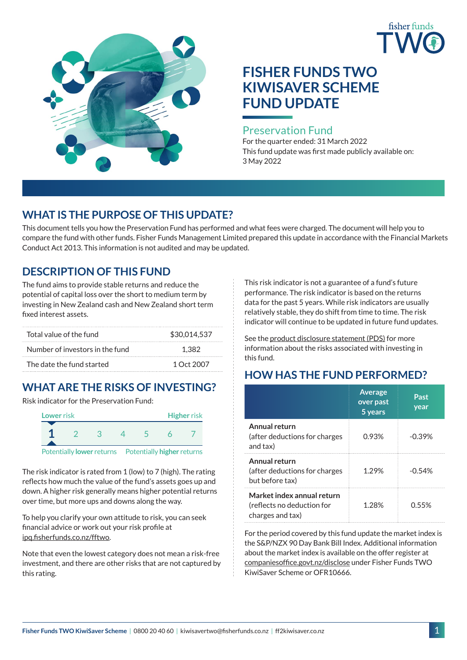



# **FISHER FUNDS TWO KIWISAVER SCHEME FUND UPDATE**

#### Preservation Fund

For the quarter ended: 31 March 2022 This fund update was first made publicly available on: 3 May 2022

## **WHAT IS THE PURPOSE OF THIS UPDATE?**

This document tells you how the Preservation Fund has performed and what fees were charged. The document will help you to compare the fund with other funds. Fisher Funds Management Limited prepared this update in accordance with the Financial Markets Conduct Act 2013. This information is not audited and may be updated.

## **DESCRIPTION OF THIS FUND**

The fund aims to provide stable returns and reduce the potential of capital loss over the short to medium term by investing in New Zealand cash and New Zealand short term fixed interest assets.

| Total value of the fund         | \$30.014.537 |
|---------------------------------|--------------|
| Number of investors in the fund | 1.382        |
| The date the fund started       | 1 Oct 2007   |

# **WHAT ARE THE RISKS OF INVESTING?**

Risk indicator for the Preservation Fund:



The risk indicator is rated from 1 (low) to 7 (high). The rating reflects how much the value of the fund's assets goes up and down. A higher risk generally means higher potential returns over time, but more ups and downs along the way.

To help you clarify your own attitude to risk, you can seek financial advice or work out your risk profile at [ipq.fisherfunds.co.nz/fftwo](https://ipq.fisherfunds.co.nz/fftwo).

Note that even the lowest category does not mean a risk-free investment, and there are other risks that are not captured by this rating.

This risk indicator is not a guarantee of a fund's future performance. The risk indicator is based on the returns data for the past 5 years. While risk indicators are usually relatively stable, they do shift from time to time. The risk indicator will continue to be updated in future fund updates.

See the [product disclosure statement \(PDS\)](http://ff2kiwisaver.co.nz/assets/Documents/Fisher-Funds-TWO-KiwiSaver-Scheme-PDS.pdf) for more information about the risks associated with investing in this fund.

# **HOW HAS THE FUND PERFORMED?**

|                                                                              | <b>Average</b><br>over past<br>5 years | Past<br>year |
|------------------------------------------------------------------------------|----------------------------------------|--------------|
| Annual return<br>(after deductions for charges<br>and tax)                   | 0.93%                                  | $-0.39%$     |
| Annual return<br>(after deductions for charges<br>but before tax)            | 1 29%                                  | $-0.54%$     |
| Market index annual return<br>(reflects no deduction for<br>charges and tax) | 1.28%                                  | <u>በ 55%</u> |

For the period covered by this fund update the market index is the S&P/NZX 90 Day Bank Bill Index. Additional information about the market index is available on the offer register at [companiesoffice.govt.nz/disclose](http://companiesoffice.govt.nz/disclose) under Fisher Funds TWO KiwiSaver Scheme or OFR10666.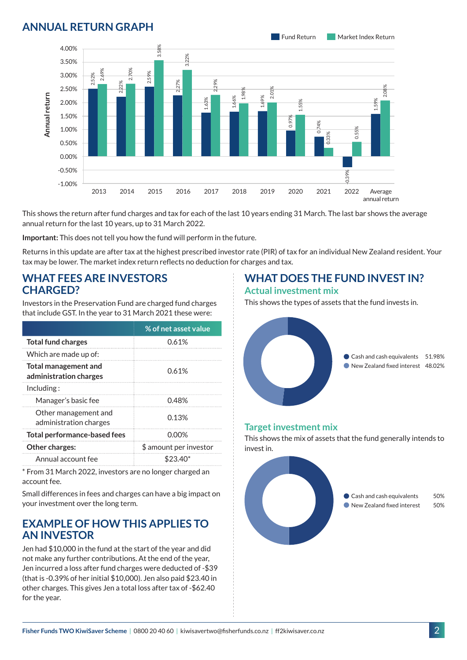### **ANNUAL RETURN GRAPH**



This shows the return after fund charges and tax for each of the last 10 years ending 31 March. The last bar shows the average annual return for the last 10 years, up to 31 March 2022.

**Important:** This does not tell you how the fund will perform in the future.

Returns in this update are after tax at the highest prescribed investor rate (PIR) of tax for an individual New Zealand resident. Your tax may be lower. The market index return reflects no deduction for charges and tax.

#### **WHAT FEES ARE INVESTORS CHARGED?**

Investors in the Preservation Fund are charged fund charges that include GST. In the year to 31 March 2021 these were:

|                                                | % of net asset value   |  |
|------------------------------------------------|------------------------|--|
| <b>Total fund charges</b>                      | 0.61%                  |  |
| Which are made up of:                          |                        |  |
| Total management and<br>administration charges | 0.61%                  |  |
| Inding:                                        |                        |  |
| Manager's basic fee                            | 0.48%                  |  |
| Other management and<br>administration charges | 0.13%                  |  |
| <b>Total performance-based fees</b>            | 0.00%                  |  |
| <b>Other charges:</b>                          | \$ amount per investor |  |
| Annual account fee                             | $$23.40*$              |  |

\* From 31 March 2022, investors are no longer charged an account fee.

Small differences in fees and charges can have a big impact on your investment over the long term.

## **EXAMPLE OF HOW THIS APPLIES TO AN INVESTOR**

Jen had \$10,000 in the fund at the start of the year and did not make any further contributions. At the end of the year, Jen incurred a loss after fund charges were deducted of -\$39 (that is -0.39% of her initial \$10,000). Jen also paid \$23.40 in other charges. This gives Jen a total loss after tax of -\$62.40 for the year.

#### **WHAT DOES THE FUND INVEST IN? Actual investment mix**

This shows the types of assets that the fund invests in.



#### **Target investment mix**

This shows the mix of assets that the fund generally intends to invest in.